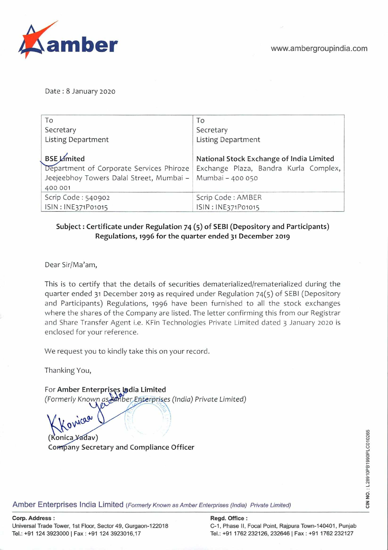Date: 8 January 2020

| To<br>Secretary                                                                                 | To<br>Secretary                                                       |
|-------------------------------------------------------------------------------------------------|-----------------------------------------------------------------------|
| <b>Listing Department</b><br><b>BSE Limited</b>                                                 | <b>Listing Department</b><br>National Stock Exchange of India Limited |
| Department of Corporate Services Phiroze<br>Jeejeebhoy Towers Dalal Street, Mumbai -<br>400 001 | Exchange Plaza, Bandra Kurla Complex,<br>Mumbai - 400 050             |
| Scrip Code: 540902                                                                              | Scrip Code: AMBER                                                     |
| ISIN: INE371P01015                                                                              | ISIN: INE371P01015                                                    |

## Subject: Certificate under Regulation 74 (5) of SEBI (Depository and Participants) **Regulations, 1996 for the quarter ended 31 December 2019**

Dear Sir/Ma'am,

This is to certify that the details of securities dematerialized/rematerialized during the quarter ended 31 December 2019 as required under Regulation 74(5) of SEBl (Depository and Participants) Regulations, 1996 have been furnished to all the stock exchanges where the shares of the Company are listed. The letter confirming this from our Registrar and Share Transfer Agent i.e. KFin Technologies Private Limited dated 3 January 2020 is enclosed for your reference.

We request you to kindly take this on your record.

Thanking You,

rica

**For Amber Enterprises India Limited** (Formerly Known as Amber Enterprises (India) Private Limited)

(Konica Yadav) **Company Secretary and Compliance Officer** 

Amber Enterprises India Limited (Formerly Known as Amber Enterprises (India) Private Limited)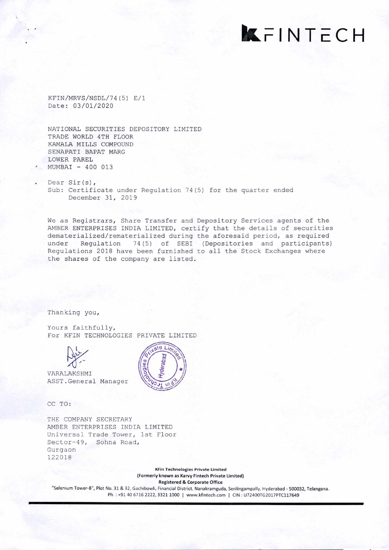**kFI** NTECH

KFIN/MRVS/NSDL/74 (5) E/i Date: 03/01/2020

NATIONAL SECURITIES DEPOSITORY LIMITED TRADE WORLD 4TH FLOOR KAMALA MILLS COMPOUND SENAPATI BAPAT MARG LOWER PAREL MUMBAI - 400 013

Dear Sir(s), Sub: Certificate under Regulation 74(5) for the quarter ended December 31, 2019

ate Lin

We as Registrars, Share Transfer and Depository Services agents of the AMBER ENTERPRISES INDIA LIMITED, certify that the details of securities dematerialized/rematerialized during the aforesaid period, as required under Regulation 74(5) of SEBI (Depositories and participants) Regulations 2018 have been furnished to all the Stock Exchanges where the shares of the company are listed.

Thanking you,

Yours faithfully, For KFIN TECHNOLOGIES PRIVATE LIMITED



VARALAKS HMI ASST . General Manager

CC TO:

THE COMPANY SECRETARY AMBER ENTERPRISES INDIA LIMITED Universal Trade Tower, 1st Floor Sector-49, Sohna Road, Gurgaon 122018

> KFin Technologies Private Umited (Formerly known as Karvy Fintech Private Limited) Registered & Corporate Office

"Selenium Tower-B", Plot No. 31 & 32, Gachibowli, Financial District, Nanakramguda, Serilingampally, Hyderabad - 500032, Telangana. Ph.: +91 40 6716 2222, 3321 1000 | www.kfintech.com | CIN: U72400TG2017PTC117649